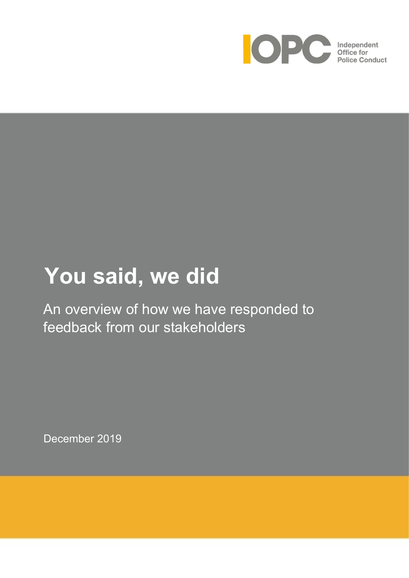

# **You said, we did**

An overview of how we have responded to feedback from our stakeholders

December 2019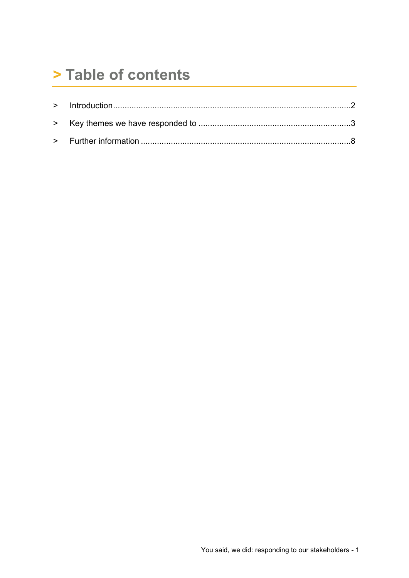## > Table of contents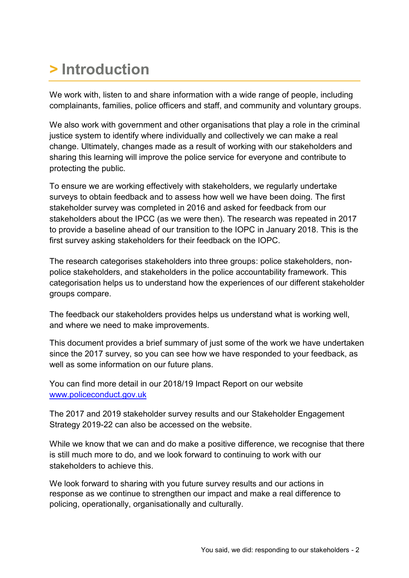# <span id="page-2-0"></span>**> Introduction**

We work with, listen to and share information with a wide range of people, including complainants, families, police officers and staff, and community and voluntary groups.

We also work with government and other organisations that play a role in the criminal justice system to identify where individually and collectively we can make a real change. Ultimately, changes made as a result of working with our stakeholders and sharing this learning will improve the police service for everyone and contribute to protecting the public.

To ensure we are working effectively with stakeholders, we regularly undertake surveys to obtain feedback and to assess how well we have been doing. The first stakeholder survey was completed in 2016 and asked for feedback from our stakeholders about the IPCC (as we were then). The research was repeated in 2017 to provide a baseline ahead of our transition to the IOPC in January 2018. This is the first survey asking stakeholders for their feedback on the IOPC.

The research categorises stakeholders into three groups: police stakeholders, nonpolice stakeholders, and stakeholders in the police accountability framework. This categorisation helps us to understand how the experiences of our different stakeholder groups compare.

The feedback our stakeholders provides helps us understand what is working well, and where we need to make improvements.

This document provides a brief summary of just some of the work we have undertaken since the 2017 survey, so you can see how we have responded to your feedback, as well as some information on our future plans.

You can find more detail in our 2018/19 Impact Report on our website [www.policeconduct.gov.uk](http://www.policeconduct.gov.uk/)

The 2017 and 2019 stakeholder survey results and our Stakeholder Engagement Strategy 2019-22 can also be accessed on the website.

While we know that we can and do make a positive difference, we recognise that there is still much more to do, and we look forward to continuing to work with our stakeholders to achieve this.

We look forward to sharing with you future survey results and our actions in response as we continue to strengthen our impact and make a real difference to policing, operationally, organisationally and culturally.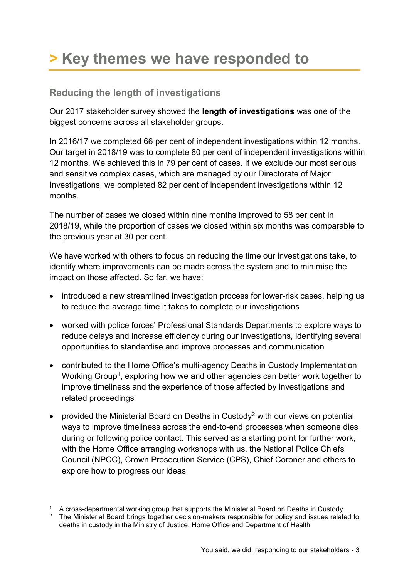# <span id="page-3-0"></span>**> Key themes we have responded to**

### **Reducing the length of investigations**

Our 2017 stakeholder survey showed the **length of investigations** was one of the biggest concerns across all stakeholder groups.

In 2016/17 we completed 66 per cent of independent investigations within 12 months. Our target in 2018/19 was to complete 80 per cent of independent investigations within 12 months. We achieved this in 79 per cent of cases. If we exclude our most serious and sensitive complex cases, which are managed by our Directorate of Major Investigations, we completed 82 per cent of independent investigations within 12 months.

The number of cases we closed within nine months improved to 58 per cent in 2018/19, while the proportion of cases we closed within six months was comparable to the previous year at 30 per cent.

We have worked with others to focus on reducing the time our investigations take, to identify where improvements can be made across the system and to minimise the impact on those affected. So far, we have:

- introduced a new streamlined investigation process for lower-risk cases, helping us to reduce the average time it takes to complete our investigations
- worked with police forces' Professional Standards Departments to explore ways to reduce delays and increase efficiency during our investigations, identifying several opportunities to standardise and improve processes and communication
- contributed to the Home Office's multi-agency Deaths in Custody Implementation Working Group<sup>1</sup>, exploring how we and other agencies can better work together to improve timeliness and the experience of those affected by investigations and related proceedings
- provided the Ministerial Board on Deaths in Custody<sup>2</sup> with our views on potential ways to improve timeliness across the end-to-end processes when someone dies during or following police contact. This served as a starting point for further work, with the Home Office arranging workshops with us, the National Police Chiefs' Council (NPCC), Crown Prosecution Service (CPS), Chief Coroner and others to explore how to progress our ideas

1

<sup>&</sup>lt;sup>1</sup> A cross-departmental working group that supports the Ministerial Board on Deaths in Custody

<sup>&</sup>lt;sup>2</sup> The Ministerial Board brings together decision-makers responsible for policy and issues related to deaths in custody in the Ministry of Justice, Home Office and Department of Health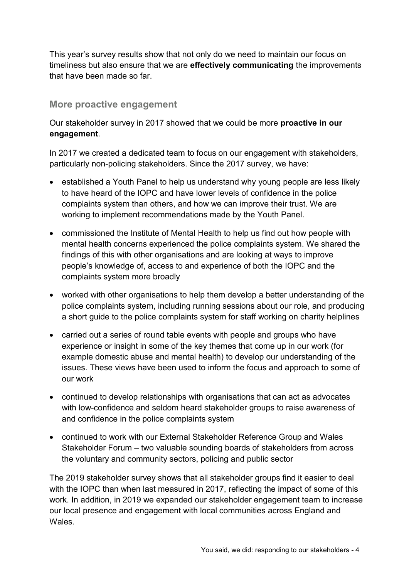This year's survey results show that not only do we need to maintain our focus on timeliness but also ensure that we are **effectively communicating** the improvements that have been made so far.

#### **More proactive engagement**

Our stakeholder survey in 2017 showed that we could be more **proactive in our engagement**.

In 2017 we created a dedicated team to focus on our engagement with stakeholders, particularly non-policing stakeholders. Since the 2017 survey, we have:

- established a Youth Panel to help us understand why young people are less likely to have heard of the IOPC and have lower levels of confidence in the police complaints system than others, and how we can improve their trust. We are working to implement recommendations made by the Youth Panel.
- commissioned the Institute of Mental Health to help us find out how people with mental health concerns experienced the police complaints system. We shared the findings of this with other organisations and are looking at ways to improve people's knowledge of, access to and experience of both the IOPC and the complaints system more broadly
- worked with other organisations to help them develop a better understanding of the police complaints system, including running sessions about our role, and producing a short guide to the police complaints system for staff working on charity helplines
- carried out a series of round table events with people and groups who have experience or insight in some of the key themes that come up in our work (for example domestic abuse and mental health) to develop our understanding of the issues. These views have been used to inform the focus and approach to some of our work
- continued to develop relationships with organisations that can act as advocates with low-confidence and seldom heard stakeholder groups to raise awareness of and confidence in the police complaints system
- continued to work with our External Stakeholder Reference Group and Wales Stakeholder Forum – two valuable sounding boards of stakeholders from across the voluntary and community sectors, policing and public sector

The 2019 stakeholder survey shows that all stakeholder groups find it easier to deal with the IOPC than when last measured in 2017, reflecting the impact of some of this work. In addition, in 2019 we expanded our stakeholder engagement team to increase our local presence and engagement with local communities across England and **Wales**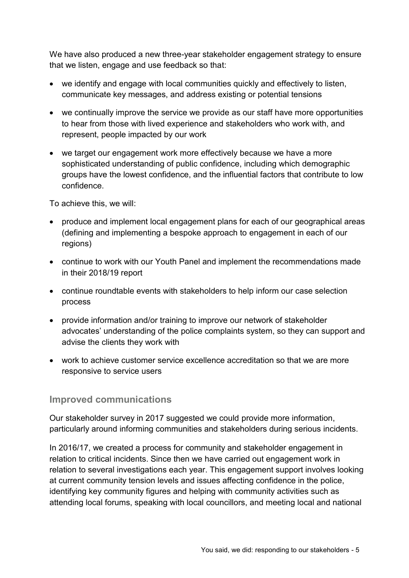We have also produced a new three-year stakeholder engagement strategy to ensure that we listen, engage and use feedback so that:

- we identify and engage with local communities quickly and effectively to listen, communicate key messages, and address existing or potential tensions
- we continually improve the service we provide as our staff have more opportunities to hear from those with lived experience and stakeholders who work with, and represent, people impacted by our work
- we target our engagement work more effectively because we have a more sophisticated understanding of public confidence, including which demographic groups have the lowest confidence, and the influential factors that contribute to low confidence.

To achieve this, we will:

- produce and implement local engagement plans for each of our geographical areas (defining and implementing a bespoke approach to engagement in each of our regions)
- continue to work with our Youth Panel and implement the recommendations made in their 2018/19 report
- continue roundtable events with stakeholders to help inform our case selection process
- provide information and/or training to improve our network of stakeholder advocates' understanding of the police complaints system, so they can support and advise the clients they work with
- work to achieve customer service excellence accreditation so that we are more responsive to service users

### **Improved communications**

Our stakeholder survey in 2017 suggested we could provide more information, particularly around informing communities and stakeholders during serious incidents.

In 2016/17, we created a process for community and stakeholder engagement in relation to critical incidents. Since then we have carried out engagement work in relation to several investigations each year. This engagement support involves looking at current community tension levels and issues affecting confidence in the police, identifying key community figures and helping with community activities such as attending local forums, speaking with local councillors, and meeting local and national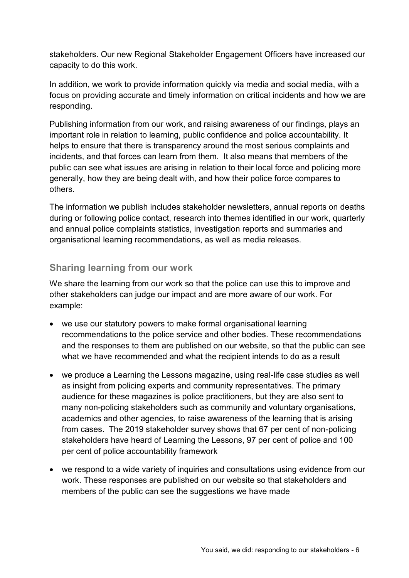stakeholders. Our new Regional Stakeholder Engagement Officers have increased our capacity to do this work.

In addition, we work to provide information quickly via media and social media, with a focus on providing accurate and timely information on critical incidents and how we are responding.

Publishing information from our work, and raising awareness of our findings, plays an important role in relation to learning, public confidence and police accountability. It helps to ensure that there is transparency around the most serious complaints and incidents, and that forces can learn from them. It also means that members of the public can see what issues are arising in relation to their local force and policing more generally, how they are being dealt with, and how their police force compares to others.

The information we publish includes stakeholder newsletters, annual reports on deaths during or following police contact, research into themes identified in our work, quarterly and annual police complaints statistics, investigation reports and summaries and organisational learning recommendations, as well as media releases.

### **Sharing learning from our work**

We share the learning from our work so that the police can use this to improve and other stakeholders can judge our impact and are more aware of our work. For example:

- we use our statutory powers to make formal organisational learning recommendations to the police service and other bodies. These recommendations and the responses to them are published on our website, so that the public can see what we have recommended and what the recipient intends to do as a result
- we produce a Learning the Lessons magazine, using real-life case studies as well as insight from policing experts and community representatives. The primary audience for these magazines is police practitioners, but they are also sent to many non-policing stakeholders such as community and voluntary organisations, academics and other agencies, to raise awareness of the learning that is arising from cases. The 2019 stakeholder survey shows that 67 per cent of non-policing stakeholders have heard of Learning the Lessons, 97 per cent of police and 100 per cent of police accountability framework
- we respond to a wide variety of inquiries and consultations using evidence from our work. These responses are published on our website so that stakeholders and members of the public can see the suggestions we have made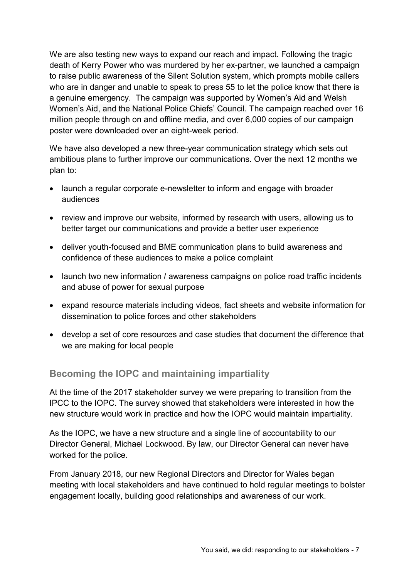We are also testing new ways to expand our reach and impact. Following the tragic death of Kerry Power who was murdered by her ex-partner, we launched a campaign to raise public awareness of the Silent Solution system, which prompts mobile callers who are in danger and unable to speak to press 55 to let the police know that there is a genuine emergency. The campaign was supported by Women's Aid and Welsh Women's Aid, and the National Police Chiefs' Council. The campaign reached over 16 million people through on and offline media, and over 6,000 copies of our campaign poster were downloaded over an eight-week period.

We have also developed a new three-year communication strategy which sets out ambitious plans to further improve our communications. Over the next 12 months we plan to:

- launch a regular corporate e-newsletter to inform and engage with broader audiences
- review and improve our website, informed by research with users, allowing us to better target our communications and provide a better user experience
- deliver youth-focused and BME communication plans to build awareness and confidence of these audiences to make a police complaint
- launch two new information / awareness campaigns on police road traffic incidents and abuse of power for sexual purpose
- expand resource materials including videos, fact sheets and website information for dissemination to police forces and other stakeholders
- develop a set of core resources and case studies that document the difference that we are making for local people

### **Becoming the IOPC and maintaining impartiality**

At the time of the 2017 stakeholder survey we were preparing to transition from the IPCC to the IOPC. The survey showed that stakeholders were interested in how the new structure would work in practice and how the IOPC would maintain impartiality.

As the IOPC, we have a new structure and a single line of accountability to our Director General, Michael Lockwood. By law, our Director General can never have worked for the police.

From January 2018, our new Regional Directors and Director for Wales began meeting with local stakeholders and have continued to hold regular meetings to bolster engagement locally, building good relationships and awareness of our work.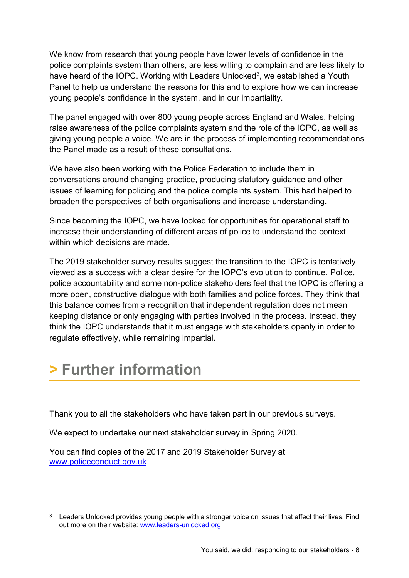We know from research that young people have lower levels of confidence in the police complaints system than others, are less willing to complain and are less likely to have heard of the IOPC. Working with Leaders Unlocked<sup>3</sup>, we established a Youth Panel to help us understand the reasons for this and to explore how we can increase young people's confidence in the system, and in our impartiality.

The panel engaged with over 800 young people across England and Wales, helping raise awareness of the police complaints system and the role of the IOPC, as well as giving young people a voice. We are in the process of implementing recommendations the Panel made as a result of these consultations.

We have also been working with the Police Federation to include them in conversations around changing practice, producing statutory guidance and other issues of learning for policing and the police complaints system. This had helped to broaden the perspectives of both organisations and increase understanding.

Since becoming the IOPC, we have looked for opportunities for operational staff to increase their understanding of different areas of police to understand the context within which decisions are made.

The 2019 stakeholder survey results suggest the transition to the IOPC is tentatively viewed as a success with a clear desire for the IOPC's evolution to continue. Police, police accountability and some non-police stakeholders feel that the IOPC is offering a more open, constructive dialogue with both families and police forces. They think that this balance comes from a recognition that independent regulation does not mean keeping distance or only engaging with parties involved in the process. Instead, they think the IOPC understands that it must engage with stakeholders openly in order to regulate effectively, while remaining impartial.

# <span id="page-8-0"></span>**> Further information**

Thank you to all the stakeholders who have taken part in our previous surveys.

We expect to undertake our next stakeholder survey in Spring 2020.

You can find copies of the 2017 and 2019 Stakeholder Survey at [www.policeconduct.gov.uk](http://www.policeconduct.gov.uk/)

<sup>1</sup> <sup>3</sup> Leaders Unlocked provides young people with a stronger voice on issues that affect their lives. Find out more on their website: [www.leaders-unlocked.org](http://www.leaders-unlocked.org/)